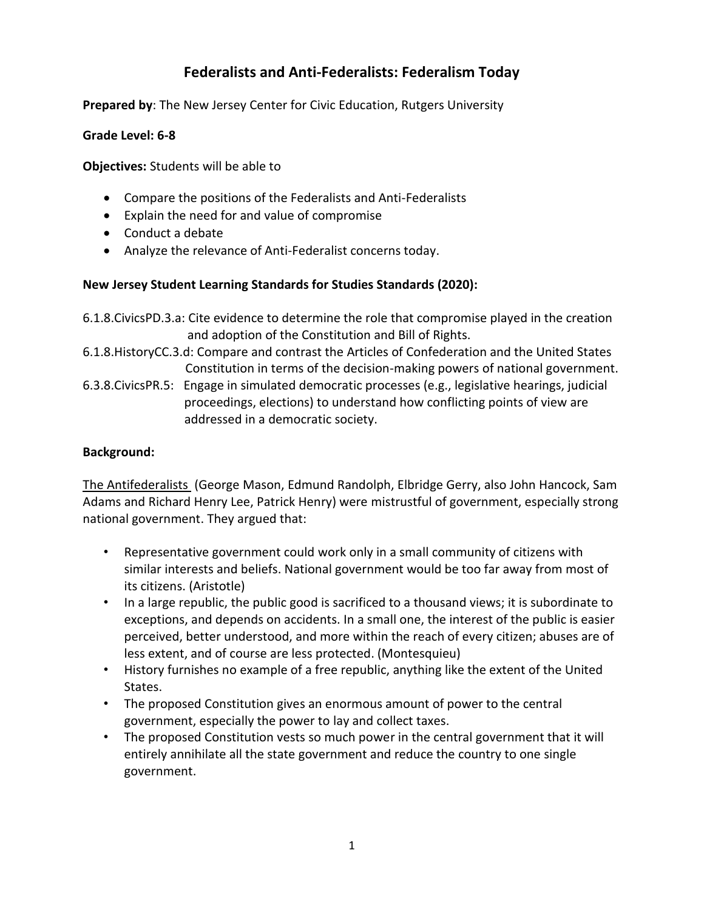# **Federalists and Anti-Federalists: Federalism Today**

**Prepared by**: The New Jersey Center for Civic Education, Rutgers University

#### **Grade Level: 6-8**

**Objectives:** Students will be able to

- Compare the positions of the Federalists and Anti-Federalists
- Explain the need for and value of compromise
- Conduct a debate
- Analyze the relevance of Anti-Federalist concerns today.

## **New Jersey Student Learning Standards for Studies Standards (2020):**

- 6.1.8.CivicsPD.3.a: Cite evidence to determine the role that compromise played in the creation and adoption of the Constitution and Bill of Rights.
- 6.1.8.HistoryCC.3.d: Compare and contrast the Articles of Confederation and the United States Constitution in terms of the decision-making powers of national government.
- 6.3.8.CivicsPR.5: Engage in simulated democratic processes (e.g., legislative hearings, judicial proceedings, elections) to understand how conflicting points of view are addressed in a democratic society.

## **Background:**

The Antifederalists (George Mason, Edmund Randolph, Elbridge Gerry, also John Hancock, Sam Adams and Richard Henry Lee, Patrick Henry) were mistrustful of government, especially strong national government. They argued that:

- Representative government could work only in a small community of citizens with similar interests and beliefs. National government would be too far away from most of its citizens. (Aristotle)
- In a large republic, the public good is sacrificed to a thousand views; it is subordinate to exceptions, and depends on accidents. In a small one, the interest of the public is easier perceived, better understood, and more within the reach of every citizen; abuses are of less extent, and of course are less protected. (Montesquieu)
- History furnishes no example of a free republic, anything like the extent of the United States.
- The proposed Constitution gives an enormous amount of power to the central government, especially the power to lay and collect taxes.
- The proposed Constitution vests so much power in the central government that it will entirely annihilate all the state government and reduce the country to one single government.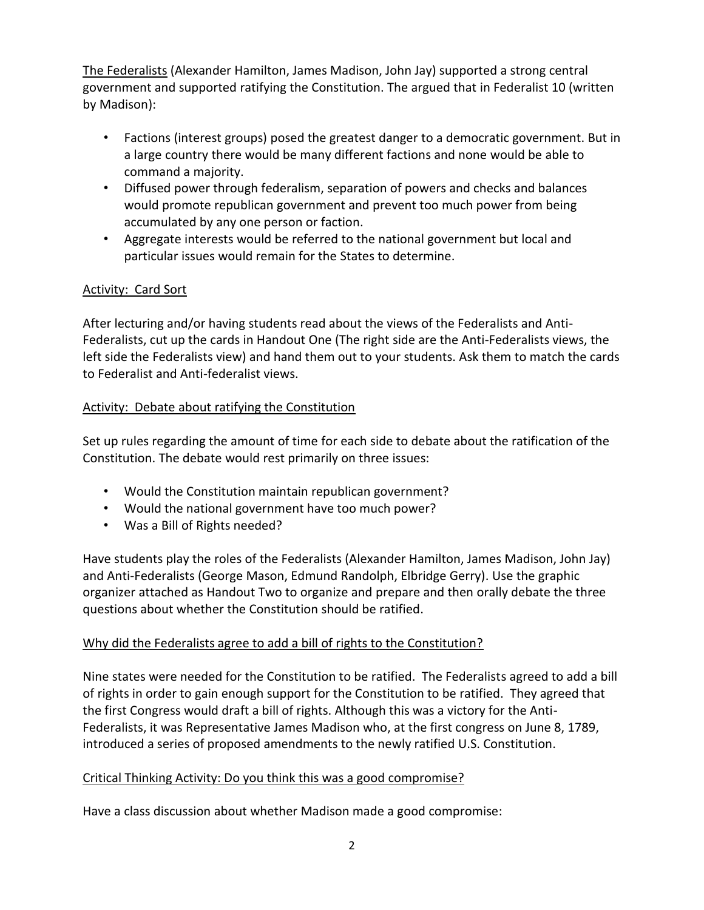The Federalists (Alexander Hamilton, James Madison, John Jay) supported a strong central government and supported ratifying the Constitution. The argued that in Federalist 10 (written by Madison):

- Factions (interest groups) posed the greatest danger to a democratic government. But in a large country there would be many different factions and none would be able to command a majority.
- Diffused power through federalism, separation of powers and checks and balances would promote republican government and prevent too much power from being accumulated by any one person or faction.
- Aggregate interests would be referred to the national government but local and particular issues would remain for the States to determine.

## Activity: Card Sort

After lecturing and/or having students read about the views of the Federalists and Anti-Federalists, cut up the cards in Handout One (The right side are the Anti-Federalists views, the left side the Federalists view) and hand them out to your students. Ask them to match the cards to Federalist and Anti-federalist views.

## Activity: Debate about ratifying the Constitution

Set up rules regarding the amount of time for each side to debate about the ratification of the Constitution. The debate would rest primarily on three issues:

- Would the Constitution maintain republican government?
- Would the national government have too much power?
- Was a Bill of Rights needed?

Have students play the roles of the Federalists (Alexander Hamilton, James Madison, John Jay) and Anti-Federalists (George Mason, Edmund Randolph, Elbridge Gerry). Use the graphic organizer attached as Handout Two to organize and prepare and then orally debate the three questions about whether the Constitution should be ratified.

#### Why did the Federalists agree to add a bill of rights to the Constitution?

Nine states were needed for the Constitution to be ratified. The Federalists agreed to add a bill of rights in order to gain enough support for the Constitution to be ratified. They agreed that the first Congress would draft a bill of rights. Although this was a victory for the Anti-Federalists, it was Representative James Madison who, at the first congress on June 8, 1789, introduced a series of proposed amendments to the newly ratified U.S. Constitution.

#### Critical Thinking Activity: Do you think this was a good compromise?

Have a class discussion about whether Madison made a good compromise: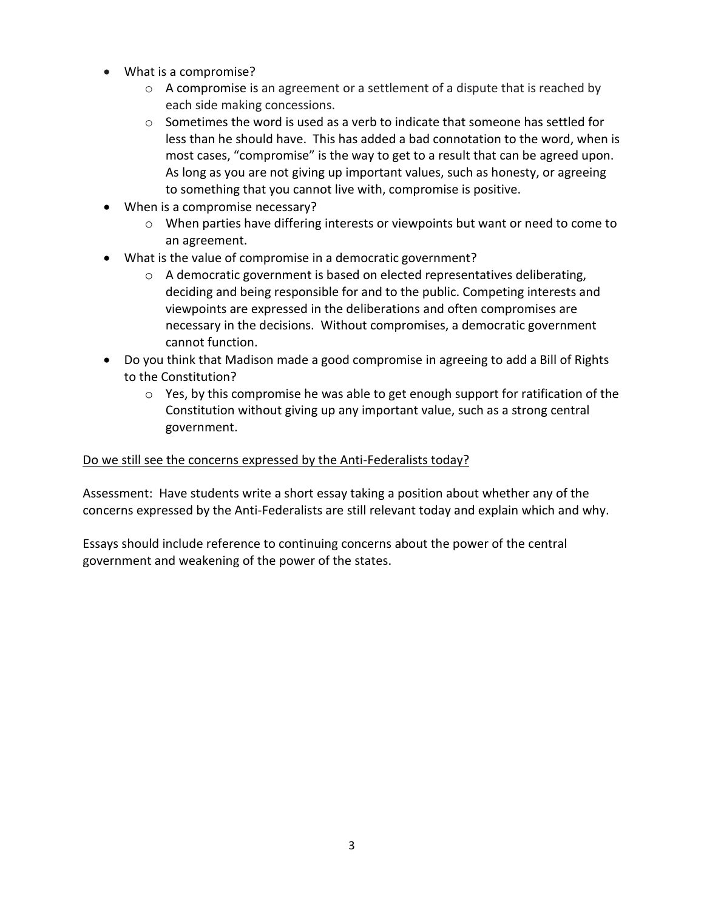- What is a compromise?
	- o A compromise is an agreement or a settlement of a dispute that is reached by each side making concessions.
	- $\circ$  Sometimes the word is used as a verb to indicate that someone has settled for less than he should have. This has added a bad connotation to the word, when is most cases, "compromise" is the way to get to a result that can be agreed upon. As long as you are not giving up important values, such as honesty, or agreeing to something that you cannot live with, compromise is positive.
- When is a compromise necessary?
	- $\circ$  When parties have differing interests or viewpoints but want or need to come to an agreement.
- What is the value of compromise in a democratic government?
	- $\circ$  A democratic government is based on elected representatives deliberating, deciding and being responsible for and to the public. Competing interests and viewpoints are expressed in the deliberations and often compromises are necessary in the decisions. Without compromises, a democratic government cannot function.
- Do you think that Madison made a good compromise in agreeing to add a Bill of Rights to the Constitution?
	- $\circ$  Yes, by this compromise he was able to get enough support for ratification of the Constitution without giving up any important value, such as a strong central government.

#### Do we still see the concerns expressed by the Anti-Federalists today?

Assessment: Have students write a short essay taking a position about whether any of the concerns expressed by the Anti-Federalists are still relevant today and explain which and why.

Essays should include reference to continuing concerns about the power of the central government and weakening of the power of the states.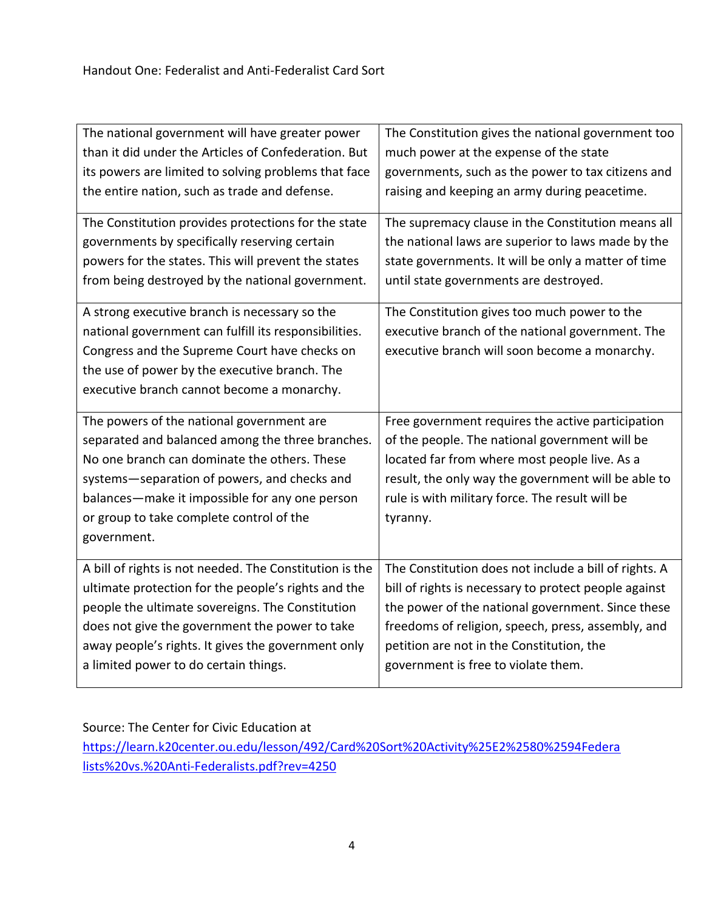| The national government will have greater power                                                                                                                                                                                                                                                            | The Constitution gives the national government too                                                                                                                                                                                                                         |
|------------------------------------------------------------------------------------------------------------------------------------------------------------------------------------------------------------------------------------------------------------------------------------------------------------|----------------------------------------------------------------------------------------------------------------------------------------------------------------------------------------------------------------------------------------------------------------------------|
| than it did under the Articles of Confederation. But                                                                                                                                                                                                                                                       | much power at the expense of the state                                                                                                                                                                                                                                     |
| its powers are limited to solving problems that face                                                                                                                                                                                                                                                       | governments, such as the power to tax citizens and                                                                                                                                                                                                                         |
| the entire nation, such as trade and defense.                                                                                                                                                                                                                                                              | raising and keeping an army during peacetime.                                                                                                                                                                                                                              |
| The Constitution provides protections for the state                                                                                                                                                                                                                                                        | The supremacy clause in the Constitution means all                                                                                                                                                                                                                         |
| governments by specifically reserving certain                                                                                                                                                                                                                                                              | the national laws are superior to laws made by the                                                                                                                                                                                                                         |
| powers for the states. This will prevent the states                                                                                                                                                                                                                                                        | state governments. It will be only a matter of time                                                                                                                                                                                                                        |
| from being destroyed by the national government.                                                                                                                                                                                                                                                           | until state governments are destroyed.                                                                                                                                                                                                                                     |
| A strong executive branch is necessary so the<br>national government can fulfill its responsibilities.<br>Congress and the Supreme Court have checks on<br>the use of power by the executive branch. The<br>executive branch cannot become a monarchy.                                                     | The Constitution gives too much power to the<br>executive branch of the national government. The<br>executive branch will soon become a monarchy.                                                                                                                          |
| The powers of the national government are<br>separated and balanced among the three branches.<br>No one branch can dominate the others. These<br>systems-separation of powers, and checks and<br>balances-make it impossible for any one person<br>or group to take complete control of the<br>government. | Free government requires the active participation<br>of the people. The national government will be<br>located far from where most people live. As a<br>result, the only way the government will be able to<br>rule is with military force. The result will be<br>tyranny. |
| A bill of rights is not needed. The Constitution is the                                                                                                                                                                                                                                                    | The Constitution does not include a bill of rights. A                                                                                                                                                                                                                      |
| ultimate protection for the people's rights and the                                                                                                                                                                                                                                                        | bill of rights is necessary to protect people against                                                                                                                                                                                                                      |
| people the ultimate sovereigns. The Constitution                                                                                                                                                                                                                                                           | the power of the national government. Since these                                                                                                                                                                                                                          |
| does not give the government the power to take                                                                                                                                                                                                                                                             | freedoms of religion, speech, press, assembly, and                                                                                                                                                                                                                         |
| away people's rights. It gives the government only                                                                                                                                                                                                                                                         | petition are not in the Constitution, the                                                                                                                                                                                                                                  |
| a limited power to do certain things.                                                                                                                                                                                                                                                                      | government is free to violate them.                                                                                                                                                                                                                                        |

Source: The Center for Civic Education at

[https://learn.k20center.ou.edu/lesson/492/Card%20Sort%20Activity%25E2%2580%2594Federa](https://learn.k20center.ou.edu/lesson/492/Card%20Sort%20Activity%25E2%2580%2594Federalists%20vs.%20Anti-Federalists.pdf?rev=4250) [lists%20vs.%20Anti-Federalists.pdf?rev=4250](https://learn.k20center.ou.edu/lesson/492/Card%20Sort%20Activity%25E2%2580%2594Federalists%20vs.%20Anti-Federalists.pdf?rev=4250)